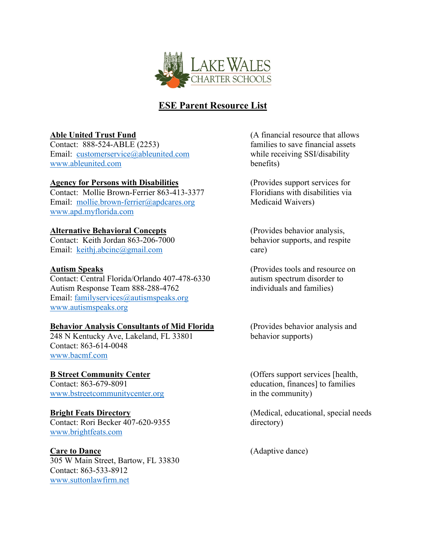

## **ESE Parent Resource List**

Contact: 888-524-ABLE (2253) families to save financial assets Email: [customerservice@ableunited.com](mailto:customerservice@ableunited.com) while receiving SSI/disability [www.ableunited.com](http://www.ableunited.com/) benefits)

### **Agency for Persons with Disabilities** (Provides support services for

Contact: Mollie Brown-Ferrier 863-413-3377 Floridians with disabilities via Email: [mollie.brown-ferrier@apdcares.org](mailto:mollie.brown-ferrier@apdcares.org) Medicaid Waivers) [www.apd.myflorida.com](http://www.apd.myflorida.com/)

### **Alternative Behavioral Concepts** (Provides behavior analysis,

Contact: Keith Jordan 863-206-7000 behavior supports, and respite Email: [keithj.abcinc@gmail.com](mailto:keithj.abcinc@gmail.com) care)

Contact: Central Florida/Orlando 407-478-6330 autism spectrum disorder to Autism Response Team 888-288-4762 individuals and families) Email: [familyservices@autismspeaks.org](mailto:familyservices@autismspeaks.org) [www.autismspeaks.org](http://www.autismspeaks.org/) 

### **Behavior Analysis Consultants of Mid Florida** (Provides behavior analysis and

248 N Kentucky Ave, Lakeland, FL 33801 behavior supports) Contact: 863-614-0048 [www.bacmf.com](http://www.bacmf.com/) 

# Contact: 863-679-8091 education, finances] to families

[www.bstreetcommunitycenter.org](http://www.bstreetcommunitycenter.org/) in the community)

Contact: Rori Becker 407-620-9355 directory) [www.brightfeats.com](http://www.brightfeats.com/) 

305 W Main Street, Bartow, FL 33830 Contact: 863-533-8912 [www.suttonlawfirm.net](http://www.suttonlawfirm.net/) 

**Able United Trust Fund** (A financial resource that allows

**Autism Speaks** (Provides tools and resource on

**B Street Community Center** (Offers support services [health,

**Bright Feats Directory** (Medical, educational, special needs)

Care to Dance (Adaptive dance)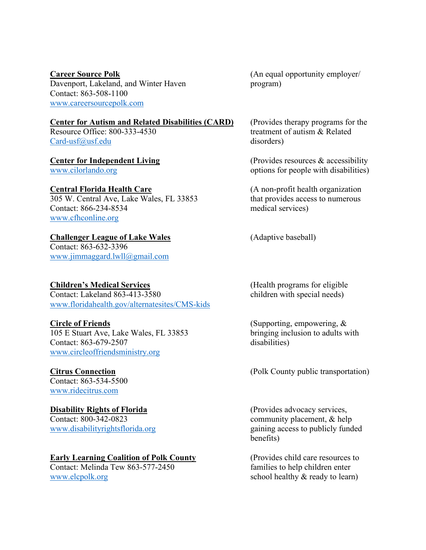Davenport, Lakeland, and Winter Haven program) Contact: 863-508-1100 [www.careersourcepolk.com](http://www.careersourcepolk.com/) 

### **Center for Autism and Related Disabilities (CARD)** (Provides therapy programs for the

[Card-usf@usf.edu](mailto:Card-usf@usf.edu) disorders)

305 W. Central Ave, Lake Wales, FL 33853 that provides access to numerous Contact: 866-234-8534 medical services) [www.cfhconline.org](http://www.cfhconline.org/) 

### **Challenger League of Lake Wales** (Adaptive baseball)

Contact: 863-632-3396 [www.jimmaggard.lwll@gmail.com](http://www.jimmaggard.lwll@gmail.com)

Contact: Lakeland  $863-413-3580$ [www.floridahealth.gov/alternatesites/CMS-kids](http://www.floridahealth.gov/alternatesites/CMS-kids)

105 E Stuart Ave, Lake Wales, FL 33853 bringing inclusion to adults with Contact: 863-679-2507 disabilities) [www.circleoffriendsministry.org](http://www.circleoffriendsministry.org/)

Contact: 863-534-5500 [www.ridecitrus.com](http://www.ridecitrus.com/)

**Disability Rights of Florida** (Provides advocacy services, Contact: 800-342-0823 community placement, & help

### **Early Learning Coalition of Polk County** (Provides child care resources to

Contact: Melinda Tew 863-577-2450 families to help children enter [www.elcpolk.org](http://www.elcpolk.org/) school healthy & ready to learn)

**Career Source Polk** (An equal opportunity employer/

Resource Office: 800-333-4530 treatment of autism & Related

**Center for Independent Living** (Provides resources & accessibility) [www.cilorlando.org](http://www.cilorlando.org/) options for people with disabilities)

**Central Florida Health Care** (A non-profit health organization

**Children's Medical Services** (Health programs for eligible

**Circle of Friends** (Supporting, empowering, &

**Citrus Connection** (Polk County public transportation)

[www.disabilityrightsflorida.org](http://www.disabilityrightsflorida.org/) gaining access to publicly funded benefits)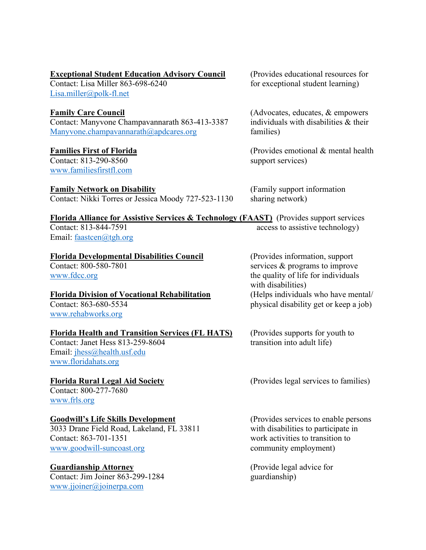### **Exceptional Student Education Advisory Council** (Provides educational resources for

[Lisa.miller@polk-fl.net](mailto:Lisa.miller@polk-fl.net)

Contact: Manyvone Champavannarath 863-413-3387 individuals with disabilities & their  $\text{Manyvone}$ .champavannarath@apdcares.org families)

Contact: 813-290-8560 support services) [www.familiesfirstfl.com](http://www.familiesfirstfl.com/)

### **Family Network on Disability** (Family support information

Contact: Nikki Torres or Jessica Moody 727-523-1130 sharing network)

**Florida Division of Vocational Rehabilitation** 

Contact: Lisa Miller 863-698-6240 for exceptional student learning)

**Family Care Council Family Care Council Family Care Council Family Care Council Family Care Council Family Care Council Family Care Council Family Care Council Family Care Council Family Care Council F** 

**Families First of Florida** (Provides emotional & mental health)

**Florida Alliance for Assistive Services & Technology (FAAST)** (Provides support services Contact: 813-844-7591 access to assistive technology) Email: [faastcen@tgh.org](mailto:faastcen@tgh.org)

**Florida Developmental Disabilities Council** (Provides information, support Contact: 800-580-7801 services & programs to improve services  $&$  programs to improve [www.fdcc.org](http://www.fdcc.org/) the quality of life for individuals with disabilities)<br>(Helps individuals who have mental/ Contact: 863-680-5534 physical disability get or keep a job)

**Florida Health and Transition Services (FL HATS)** (Provides supports for youth to Contact: Janet Hess 813-259-8604 transition into adult life)

**Florida Rural Legal Aid Society** (Provides legal services to families)

**Goodwill's Life Skills Development** (Provides services to enable persons 3033 Drane Field Road, Lakeland, FL 33811 with disabilities to participate in

Contact: Janet Hess  $813-259-8604$ 

Email: [jhess@health.usf.edu](mailto:jhess@health.usf.edu)

Contact: 800-277-7680 [www.frls.org](http://www.frls.org/) 

[www.floridahats.org](http://www.floridahats.org/)

[www.rehabworks.org](http://www.rehabworks.org/)

3033 Drane Field Road, Lakeland, FL 33811 Contact: 863-701-1351 work activities to transition to [www.goodwill-suncoast.org](http://www.goodwill-suncoast.org/) community employment)

### **Guardianship Attorney** (Provide legal advice for

Contact: Jim Joiner 863-299-1284 guardianship) [www.jjoiner@joinerpa.com](http://www.jjoiner@joinerpa.com)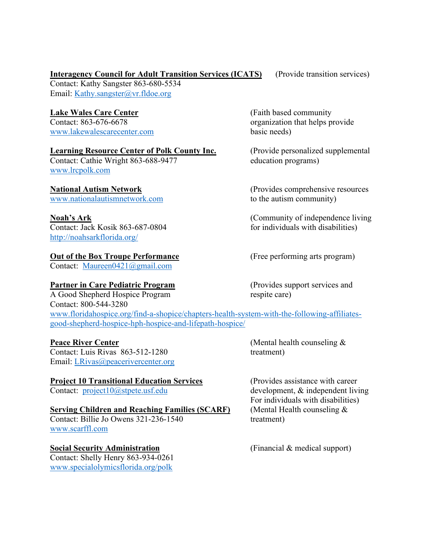### **Interagency Council for Adult Transition Services (ICATS)** (Provide transition services)

Contact: Kathy Sangster 863-680-5534 Email: [Kathy.sangster@vr.fldoe.org](mailto:Kathy.sangster@vr.fldoe.org)

### Lake Wales Care Center **Care Center** (Faith based community

[www.lakewalescarecenter.com](http://www.lakewalescarecenter.com/) basic needs)

### **Learning Resource Center of Polk County Inc.** (Provide personalized supplemental

Contact: Cathie Wright 863-688-9477 education programs) [www.lrcpolk.com](http://www.lrcpolk.com/)

[www.nationalautismnetwork.com](http://www.nationalautismnetwork.com/) to the autism community)

<http://noahsarkflorida.org/>

### **Out of the Box Troupe Performance** (Free performing arts program)

Contact: [Maureen0421@gmail.com](mailto:Maureen0421@gmail.com)

### **Partner in Care Pediatric Program** (Provides support services and

A Good Shepherd Hospice Program respite care) Contact: 800-544-3280 [www.floridahospice.org/find-a-shopice/chapters-health-system-with-the-following-affiliates](http://www.floridahospice.org/find-a-shopice/chapters-health-system-with-the-following-affiliates-good-shepherd-hospice-hph-hospice-and-lifepath-hospice/)[good-shepherd-hospice-hph-hospice-and-lifepath-hospice/](http://www.floridahospice.org/find-a-shopice/chapters-health-system-with-the-following-affiliates-good-shepherd-hospice-hph-hospice-and-lifepath-hospice/)

 $\overline{\text{ contact: Luis Rivas}}$  863-512-1280 treatment) Email: [LRivas@peacerivercenter.org](mailto:LRivas@peacerivercenter.org)

### **Serving Children and Reaching Families (SCARF)** (Mental Health counseling &

Contact: Billie Jo Owens 321-236-1540 treatment) [www.scarffl.com](http://www.scarffl.com/)

### **Social Security Administration** (Financial & medical support)

Contact: Shelly Henry 863-934-0261 [www.specialolymicsflorida.org/polk](http://www.specialolymicsflorida.org/polk)

Contact: 863-676-6678 organization that helps provide

**National Autism Network** (Provides comprehensive resources

**Noah's Ark**<br>
Contact: Jack Kosik 863-687-0804<br>
for individuals with disabilities) for individuals with disabilities)

**Peace River Center** (Mental health counseling  $\&$ 

**Project 10 Transitional Education Services** (Provides assistance with career Contact: project 10 (a) strete, usf. edu development, & independent livitude of the strete of the strete of the strete of the strete of the stre development,  $&$  independent living. For individuals with disabilities)